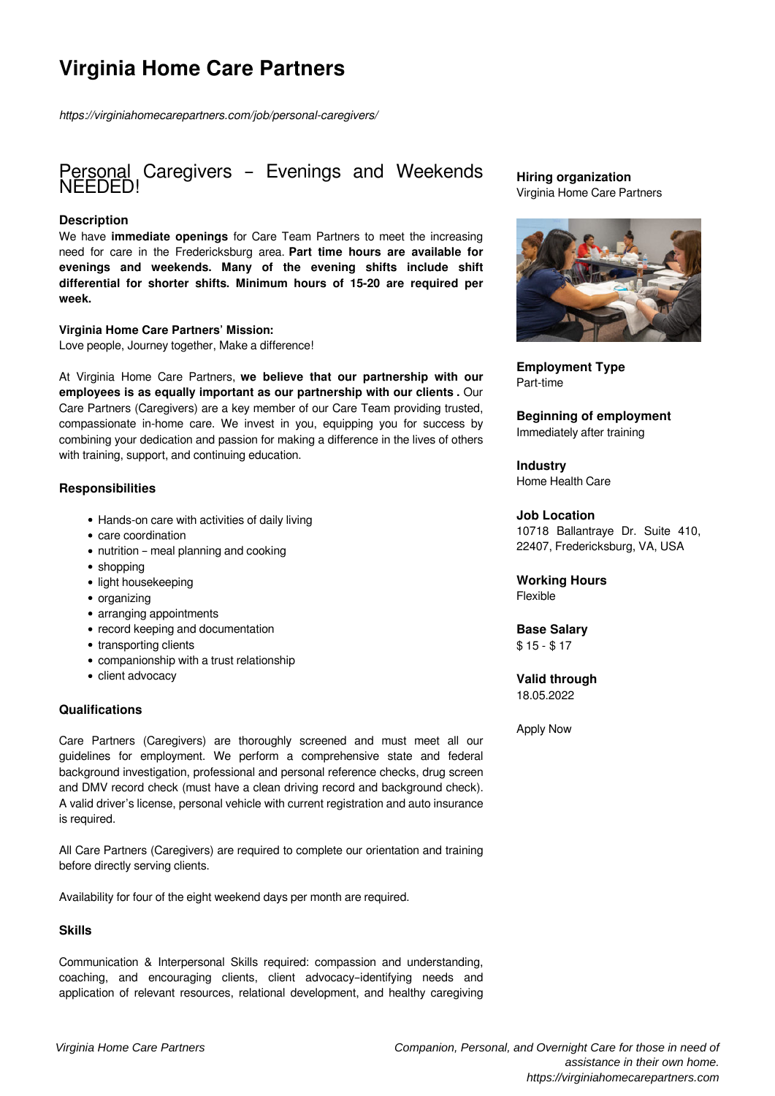# **Virginia Home Care Partners**

*https://virginiahomecarepartners.com/job/personal-caregivers/*

# Personal Caregivers - Evenings and Weekends NEEDED!

# **Description**

We have **immediate openings** for Care Team Partners to meet the increasing need for care in the Fredericksburg area. **Part time hours are available for evenings and weekends. Many of the evening shifts include shift differential for shorter shifts. Minimum hours of 15-20 are required per week.**

#### **Virginia Home Care Partners' Mission:**

Love people, Journey together, Make a difference!

At Virginia Home Care Partners, **we believe that our partnership with our employees is as equally important as our partnership with our clients .** Our Care Partners (Caregivers) are a key member of our Care Team providing trusted, compassionate in-home care. We invest in you, equipping you for success by combining your dedication and passion for making a difference in the lives of others with training, support, and continuing education.

# **Responsibilities**

- Hands-on care with activities of daily living
- care coordination
- nutrition meal planning and cooking
- $\bullet$  shopping
- light housekeeping
- organizing
- arranging appointments
- record keeping and documentation
- transporting clients
- companionship with a trust relationship
- client advocacy

# **Qualifications**

Care Partners (Caregivers) are thoroughly screened and must meet all our guidelines for employment. We perform a comprehensive state and federal background investigation, professional and personal reference checks, drug screen and DMV record check (must have a clean driving record and background check). A valid driver's license, personal vehicle with current registration and auto insurance is required.

All Care Partners (Caregivers) are required to complete our orientation and training before directly serving clients.

Availability for four of the eight weekend days per month are required.

# **Skills**

Communication & Interpersonal Skills required: compassion and understanding, coaching, and encouraging clients, client advocacy–identifying needs and application of relevant resources, relational development, and healthy caregiving

# **Hiring organization** Virginia Home Care Partners



**Employment Type** Part-time

**Beginning of employment** Immediately after training

**Industry** Home Health Care

**Job Location**

10718 Ballantraye Dr. Suite 410, 22407, Fredericksburg, VA, USA

**Working Hours** Flexible

**Base Salary** \$ 15 - \$ 17

**Valid through** 18.05.2022

Apply Now